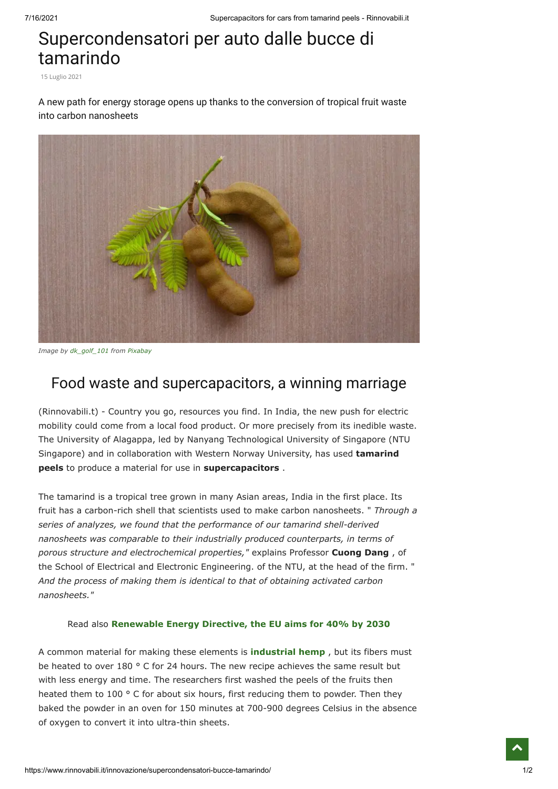## Supercondensatori per auto dalle bucce di tamarindo

15 Luglio 2021

A new path for energy storage opens up thanks to the conversion of tropical fruit waste into carbon nanosheets



*Image by [dk\\_golf\\_101](https://pixabay.com/it/users/dk_golf_101-5743693/?utm_source=link-attribution&utm_medium=referral&utm_campaign=image&utm_content=4872387) from [Pixabay](https://pixabay.com/it/?utm_source=link-attribution&utm_medium=referral&utm_campaign=image&utm_content=4872387)*

## Food waste and supercapacitors, a winning marriage

(Rinnovabili.t) - Country you go, resources you find. In India, the new push for electric mobility could come from a local food product. Or more precisely from its inedible waste. The University of Alagappa, led by Nanyang Technological University of Singapore (NTU Singapore) and in collaboration with Western Norway University, has used **tamarind peels** to produce a material for use in **supercapacitors** .

The tamarind is a tropical tree grown in many Asian areas, India in the first place. Its fruit has a carbon-rich shell that scientists used to make carbon nanosheets. " *Through a series of analyzes, we found that the performance of our tamarind shell-derived nanosheets was comparable to their industrially produced counterparts, in terms of porous structure and electrochemical properties,"* explains Professor **Cuong Dang** , of the School of Electrical and Electronic Engineering. of the NTU, at the head of the firm. " *And the process of making them is identical to that of obtaining activated carbon nanosheets."*

## Read also **[Renewable Energy Directive, the EU aims for 40% by 2030](https://www.rinnovabili.it/energia/politiche-energetiche/direttiva-energie-rinnovabili-40-fer-2030/)**

A common material for making these elements is **[industrial hemp](https://www.rinnovabili.it/agrifood/coltivare-la-canapa-sativa-agricola-colornese/)** , but its fibers must be heated to over 180 ° C for 24 hours. The new recipe achieves the same result but with less energy and time. The researchers first washed the peels of the fruits then heated them to 100 ° C for about six hours, first reducing them to powder. Then they baked the powder in an oven for 150 minutes at 700-900 degrees Celsius in the absence of oxygen to convert it into ultra-thin sheets.

 $\hat{\phantom{1}}$